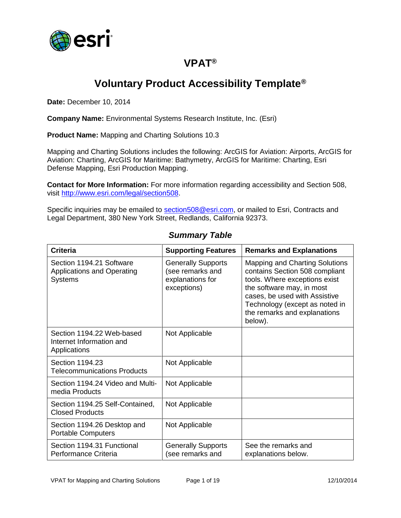

## **VPAT®**

## **Voluntary Product Accessibility Template®**

**Date:** December 10, 2014

**Company Name:** Environmental Systems Research Institute, Inc. (Esri)

**Product Name:** Mapping and Charting Solutions 10.3

Mapping and Charting Solutions includes the following: ArcGIS for Aviation: Airports, ArcGIS for Aviation: Charting, ArcGIS for Maritime: Bathymetry, ArcGIS for Maritime: Charting, Esri Defense Mapping, Esri Production Mapping.

**Contact for More Information:** For more information regarding accessibility and Section 508, visit [http://www.esri.com/legal/section508.](http://www.esri.com/legal/section508)

Specific inquiries may be emailed to [section508@esri.com,](mailto:section508@esri.com) or mailed to Esri, Contracts and Legal Department, 380 New York Street, Redlands, California 92373.

| Criteria                                                                        | <b>Supporting Features</b>                                                       | <b>Remarks and Explanations</b>                                                                                                                                                                                                                     |
|---------------------------------------------------------------------------------|----------------------------------------------------------------------------------|-----------------------------------------------------------------------------------------------------------------------------------------------------------------------------------------------------------------------------------------------------|
| Section 1194.21 Software<br><b>Applications and Operating</b><br><b>Systems</b> | <b>Generally Supports</b><br>(see remarks and<br>explanations for<br>exceptions) | <b>Mapping and Charting Solutions</b><br>contains Section 508 compliant<br>tools. Where exceptions exist<br>the software may, in most<br>cases, be used with Assistive<br>Technology (except as noted in<br>the remarks and explanations<br>below). |
| Section 1194.22 Web-based<br>Internet Information and<br>Applications           | Not Applicable                                                                   |                                                                                                                                                                                                                                                     |
| Section 1194.23<br><b>Telecommunications Products</b>                           | Not Applicable                                                                   |                                                                                                                                                                                                                                                     |
| Section 1194.24 Video and Multi-<br>media Products                              | Not Applicable                                                                   |                                                                                                                                                                                                                                                     |
| Section 1194.25 Self-Contained,<br><b>Closed Products</b>                       | Not Applicable                                                                   |                                                                                                                                                                                                                                                     |
| Section 1194.26 Desktop and<br><b>Portable Computers</b>                        | Not Applicable                                                                   |                                                                                                                                                                                                                                                     |
| Section 1194.31 Functional<br>Performance Criteria                              | <b>Generally Supports</b><br>(see remarks and                                    | See the remarks and<br>explanations below.                                                                                                                                                                                                          |

#### *Summary Table*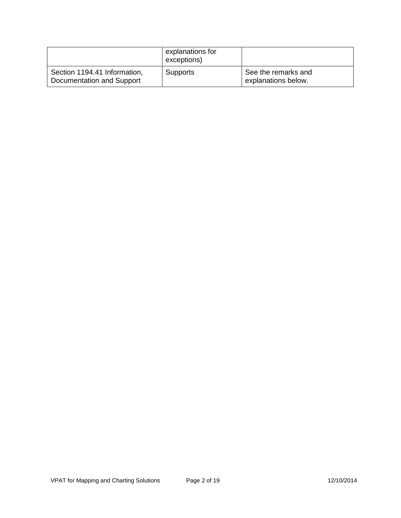|                                                           | explanations for<br>exceptions) |                                            |
|-----------------------------------------------------------|---------------------------------|--------------------------------------------|
| Section 1194.41 Information,<br>Documentation and Support | <b>Supports</b>                 | See the remarks and<br>explanations below. |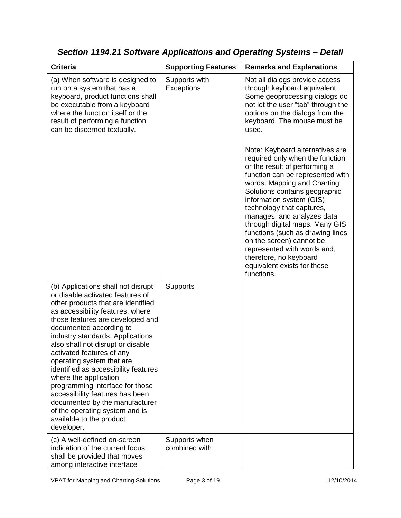| <b>Criteria</b>                                                                                                                                                                                                                                                                                                                                                                                                                                                                                                                                                                                         | <b>Supporting Features</b>     | <b>Remarks and Explanations</b>                                                                                                                                                                                                                                                                                                                                                                                                                                                                                                                                                                                      |
|---------------------------------------------------------------------------------------------------------------------------------------------------------------------------------------------------------------------------------------------------------------------------------------------------------------------------------------------------------------------------------------------------------------------------------------------------------------------------------------------------------------------------------------------------------------------------------------------------------|--------------------------------|----------------------------------------------------------------------------------------------------------------------------------------------------------------------------------------------------------------------------------------------------------------------------------------------------------------------------------------------------------------------------------------------------------------------------------------------------------------------------------------------------------------------------------------------------------------------------------------------------------------------|
| (a) When software is designed to<br>run on a system that has a<br>keyboard, product functions shall<br>be executable from a keyboard<br>where the function itself or the<br>result of performing a function<br>can be discerned textually.                                                                                                                                                                                                                                                                                                                                                              | Supports with<br>Exceptions    | Not all dialogs provide access<br>through keyboard equivalent.<br>Some geoprocessing dialogs do<br>not let the user "tab" through the<br>options on the dialogs from the<br>keyboard. The mouse must be<br>used.<br>Note: Keyboard alternatives are<br>required only when the function<br>or the result of performing a<br>function can be represented with<br>words. Mapping and Charting<br>Solutions contains geographic<br>information system (GIS)<br>technology that captures,<br>manages, and analyzes data<br>through digital maps. Many GIS<br>functions (such as drawing lines<br>on the screen) cannot be |
|                                                                                                                                                                                                                                                                                                                                                                                                                                                                                                                                                                                                         |                                | represented with words and,<br>therefore, no keyboard<br>equivalent exists for these<br>functions.                                                                                                                                                                                                                                                                                                                                                                                                                                                                                                                   |
| (b) Applications shall not disrupt<br>or disable activated features of<br>other products that are identified<br>as accessibility features, where<br>those features are developed and<br>documented according to<br>industry standards. Applications<br>also shall not disrupt or disable<br>activated features of any<br>operating system that are<br>identified as accessibility features<br>where the application<br>programming interface for those<br>accessibility features has been<br>documented by the manufacturer<br>of the operating system and is<br>available to the product<br>developer. | <b>Supports</b>                |                                                                                                                                                                                                                                                                                                                                                                                                                                                                                                                                                                                                                      |
| (c) A well-defined on-screen<br>indication of the current focus<br>shall be provided that moves<br>among interactive interface                                                                                                                                                                                                                                                                                                                                                                                                                                                                          | Supports when<br>combined with |                                                                                                                                                                                                                                                                                                                                                                                                                                                                                                                                                                                                                      |

*Section 1194.21 Software Applications and Operating Systems – Detail*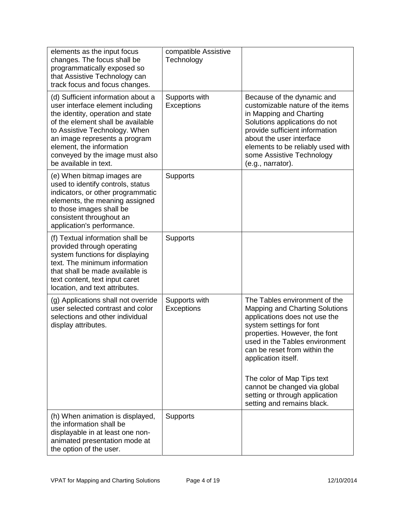| elements as the input focus<br>changes. The focus shall be<br>programmatically exposed so<br>that Assistive Technology can<br>track focus and focus changes.                                                                                                                                               | compatible Assistive<br>Technology |                                                                                                                                                                                                                                                                                                                                                                                             |
|------------------------------------------------------------------------------------------------------------------------------------------------------------------------------------------------------------------------------------------------------------------------------------------------------------|------------------------------------|---------------------------------------------------------------------------------------------------------------------------------------------------------------------------------------------------------------------------------------------------------------------------------------------------------------------------------------------------------------------------------------------|
| (d) Sufficient information about a<br>user interface element including<br>the identity, operation and state<br>of the element shall be available<br>to Assistive Technology. When<br>an image represents a program<br>element, the information<br>conveyed by the image must also<br>be available in text. | Supports with<br>Exceptions        | Because of the dynamic and<br>customizable nature of the items<br>in Mapping and Charting<br>Solutions applications do not<br>provide sufficient information<br>about the user interface<br>elements to be reliably used with<br>some Assistive Technology<br>(e.g., narrator).                                                                                                             |
| (e) When bitmap images are<br>used to identify controls, status<br>indicators, or other programmatic<br>elements, the meaning assigned<br>to those images shall be<br>consistent throughout an<br>application's performance.                                                                               | <b>Supports</b>                    |                                                                                                                                                                                                                                                                                                                                                                                             |
| (f) Textual information shall be<br>provided through operating<br>system functions for displaying<br>text. The minimum information<br>that shall be made available is<br>text content, text input caret<br>location, and text attributes.                                                                  | Supports                           |                                                                                                                                                                                                                                                                                                                                                                                             |
| (g) Applications shall not override<br>user selected contrast and color<br>selections and other individual<br>display attributes.                                                                                                                                                                          | Supports with<br>Exceptions        | The Tables environment of the<br><b>Mapping and Charting Solutions</b><br>applications does not use the<br>system settings for font<br>properties. However, the font<br>used in the Tables environment<br>can be reset from within the<br>application itself.<br>The color of Map Tips text<br>cannot be changed via global<br>setting or through application<br>setting and remains black. |
| (h) When animation is displayed,<br>the information shall be<br>displayable in at least one non-<br>animated presentation mode at<br>the option of the user.                                                                                                                                               | <b>Supports</b>                    |                                                                                                                                                                                                                                                                                                                                                                                             |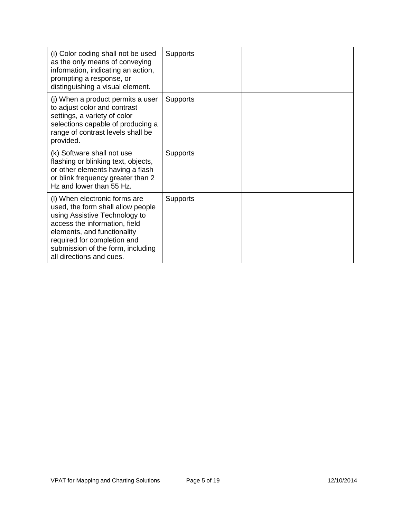| (i) Color coding shall not be used<br>as the only means of conveying<br>information, indicating an action,<br>prompting a response, or<br>distinguishing a visual element.                                                                                          | <b>Supports</b> |  |
|---------------------------------------------------------------------------------------------------------------------------------------------------------------------------------------------------------------------------------------------------------------------|-----------------|--|
| (j) When a product permits a user<br>to adjust color and contrast<br>settings, a variety of color<br>selections capable of producing a<br>range of contrast levels shall be<br>provided.                                                                            | <b>Supports</b> |  |
| (k) Software shall not use<br>flashing or blinking text, objects,<br>or other elements having a flash<br>or blink frequency greater than 2<br>Hz and lower than 55 Hz.                                                                                              | <b>Supports</b> |  |
| (I) When electronic forms are<br>used, the form shall allow people<br>using Assistive Technology to<br>access the information, field<br>elements, and functionality<br>required for completion and<br>submission of the form, including<br>all directions and cues. | <b>Supports</b> |  |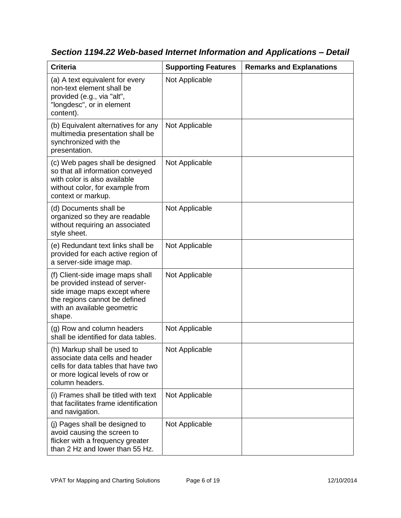| <b>Criteria</b>                                                                                                                                                              | <b>Supporting Features</b> | <b>Remarks and Explanations</b> |
|------------------------------------------------------------------------------------------------------------------------------------------------------------------------------|----------------------------|---------------------------------|
| (a) A text equivalent for every<br>non-text element shall be<br>provided (e.g., via "alt",<br>"longdesc", or in element<br>content).                                         | Not Applicable             |                                 |
| (b) Equivalent alternatives for any<br>multimedia presentation shall be<br>synchronized with the<br>presentation.                                                            | Not Applicable             |                                 |
| (c) Web pages shall be designed<br>so that all information conveyed<br>with color is also available<br>without color, for example from<br>context or markup.                 | Not Applicable             |                                 |
| (d) Documents shall be<br>organized so they are readable<br>without requiring an associated<br>style sheet.                                                                  | Not Applicable             |                                 |
| (e) Redundant text links shall be<br>provided for each active region of<br>a server-side image map.                                                                          | Not Applicable             |                                 |
| (f) Client-side image maps shall<br>be provided instead of server-<br>side image maps except where<br>the regions cannot be defined<br>with an available geometric<br>shape. | Not Applicable             |                                 |
| (g) Row and column headers<br>shall be identified for data tables.                                                                                                           | Not Applicable             |                                 |
| (h) Markup shall be used to<br>associate data cells and header<br>cells for data tables that have two<br>or more logical levels of row or<br>column headers.                 | Not Applicable             |                                 |
| (i) Frames shall be titled with text<br>that facilitates frame identification<br>and navigation.                                                                             | Not Applicable             |                                 |
| (j) Pages shall be designed to<br>avoid causing the screen to<br>flicker with a frequency greater<br>than 2 Hz and lower than 55 Hz.                                         | Not Applicable             |                                 |

*Section 1194.22 Web-based Internet Information and Applications – Detail*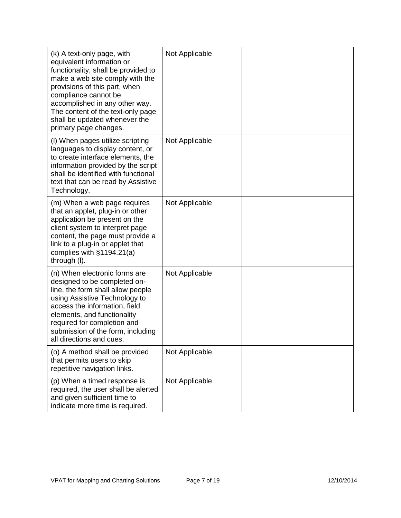| (k) A text-only page, with<br>equivalent information or<br>functionality, shall be provided to<br>make a web site comply with the<br>provisions of this part, when<br>compliance cannot be<br>accomplished in any other way.<br>The content of the text-only page<br>shall be updated whenever the<br>primary page changes. | Not Applicable |  |
|-----------------------------------------------------------------------------------------------------------------------------------------------------------------------------------------------------------------------------------------------------------------------------------------------------------------------------|----------------|--|
| (I) When pages utilize scripting<br>languages to display content, or<br>to create interface elements, the<br>information provided by the script<br>shall be identified with functional<br>text that can be read by Assistive<br>Technology.                                                                                 | Not Applicable |  |
| (m) When a web page requires<br>that an applet, plug-in or other<br>application be present on the<br>client system to interpret page<br>content, the page must provide a<br>link to a plug-in or applet that<br>complies with §1194.21(a)<br>through (I).                                                                   | Not Applicable |  |
| (n) When electronic forms are<br>designed to be completed on-<br>line, the form shall allow people<br>using Assistive Technology to<br>access the information, field<br>elements, and functionality<br>required for completion and<br>submission of the form, including<br>all directions and cues.                         | Not Applicable |  |
| (o) A method shall be provided<br>that permits users to skip<br>repetitive navigation links.                                                                                                                                                                                                                                | Not Applicable |  |
| (p) When a timed response is<br>required, the user shall be alerted<br>and given sufficient time to<br>indicate more time is required.                                                                                                                                                                                      | Not Applicable |  |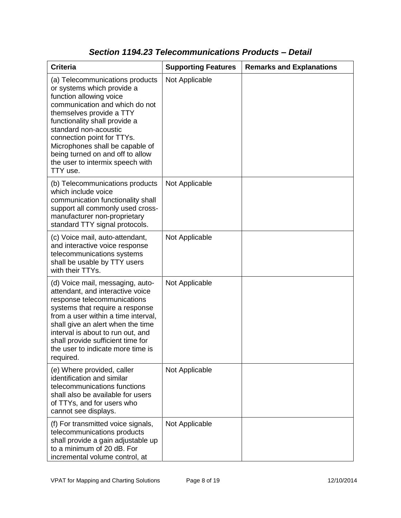| <b>Criteria</b>                                                                                                                                                                                                                                                                                                                                                       | <b>Supporting Features</b> | <b>Remarks and Explanations</b> |
|-----------------------------------------------------------------------------------------------------------------------------------------------------------------------------------------------------------------------------------------------------------------------------------------------------------------------------------------------------------------------|----------------------------|---------------------------------|
| (a) Telecommunications products<br>or systems which provide a<br>function allowing voice<br>communication and which do not<br>themselves provide a TTY<br>functionality shall provide a<br>standard non-acoustic<br>connection point for TTYs.<br>Microphones shall be capable of<br>being turned on and off to allow<br>the user to intermix speech with<br>TTY use. | Not Applicable             |                                 |
| (b) Telecommunications products<br>which include voice<br>communication functionality shall<br>support all commonly used cross-<br>manufacturer non-proprietary<br>standard TTY signal protocols.                                                                                                                                                                     | Not Applicable             |                                 |
| (c) Voice mail, auto-attendant,<br>and interactive voice response<br>telecommunications systems<br>shall be usable by TTY users<br>with their TTYs.                                                                                                                                                                                                                   | Not Applicable             |                                 |
| (d) Voice mail, messaging, auto-<br>attendant, and interactive voice<br>response telecommunications<br>systems that require a response<br>from a user within a time interval,<br>shall give an alert when the time<br>interval is about to run out, and<br>shall provide sufficient time for<br>the user to indicate more time is<br>required.                        | Not Applicable             |                                 |
| (e) Where provided, caller<br>identification and similar<br>telecommunications functions<br>shall also be available for users<br>of TTYs, and for users who<br>cannot see displays.                                                                                                                                                                                   | Not Applicable             |                                 |
| (f) For transmitted voice signals,<br>telecommunications products<br>shall provide a gain adjustable up<br>to a minimum of 20 dB. For<br>incremental volume control, at                                                                                                                                                                                               | Not Applicable             |                                 |

### *Section 1194.23 Telecommunications Products – Detail*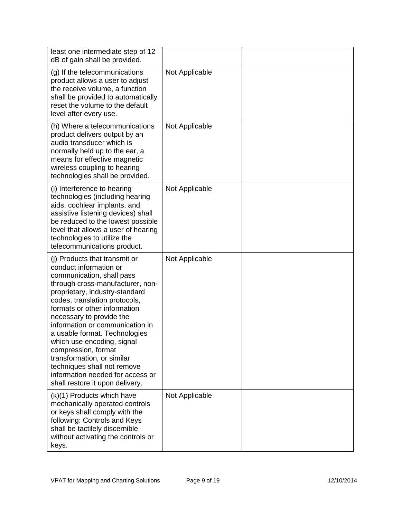| least one intermediate step of 12<br>dB of gain shall be provided.                                                                                                                                                                                                                                                                                                                                                                                                                                                   |                |  |
|----------------------------------------------------------------------------------------------------------------------------------------------------------------------------------------------------------------------------------------------------------------------------------------------------------------------------------------------------------------------------------------------------------------------------------------------------------------------------------------------------------------------|----------------|--|
| (g) If the telecommunications<br>product allows a user to adjust<br>the receive volume, a function<br>shall be provided to automatically<br>reset the volume to the default<br>level after every use.                                                                                                                                                                                                                                                                                                                | Not Applicable |  |
| (h) Where a telecommunications<br>product delivers output by an<br>audio transducer which is<br>normally held up to the ear, a<br>means for effective magnetic<br>wireless coupling to hearing<br>technologies shall be provided.                                                                                                                                                                                                                                                                                    | Not Applicable |  |
| (i) Interference to hearing<br>technologies (including hearing<br>aids, cochlear implants, and<br>assistive listening devices) shall<br>be reduced to the lowest possible<br>level that allows a user of hearing<br>technologies to utilize the<br>telecommunications product.                                                                                                                                                                                                                                       | Not Applicable |  |
| (i) Products that transmit or<br>conduct information or<br>communication, shall pass<br>through cross-manufacturer, non-<br>proprietary, industry-standard<br>codes, translation protocols,<br>formats or other information<br>necessary to provide the<br>information or communication in<br>a usable format. Technologies<br>which use encoding, signal<br>compression, format<br>transformation, or similar<br>techniques shall not remove<br>information needed for access or<br>shall restore it upon delivery. | Not Applicable |  |
| (k)(1) Products which have<br>mechanically operated controls<br>or keys shall comply with the<br>following: Controls and Keys<br>shall be tactilely discernible<br>without activating the controls or<br>keys.                                                                                                                                                                                                                                                                                                       | Not Applicable |  |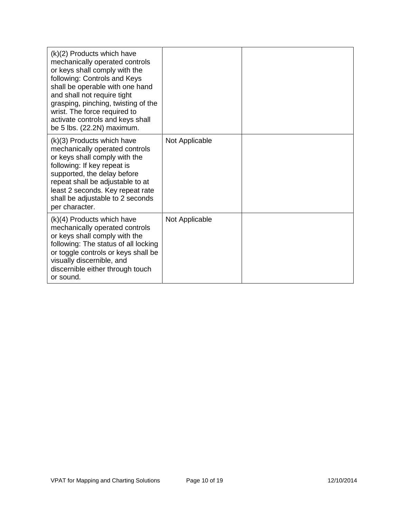| $(k)(2)$ Products which have<br>mechanically operated controls<br>or keys shall comply with the<br>following: Controls and Keys<br>shall be operable with one hand<br>and shall not require tight<br>grasping, pinching, twisting of the<br>wrist. The force required to<br>activate controls and keys shall<br>be 5 lbs. (22.2N) maximum. |                |  |
|--------------------------------------------------------------------------------------------------------------------------------------------------------------------------------------------------------------------------------------------------------------------------------------------------------------------------------------------|----------------|--|
| (k)(3) Products which have<br>mechanically operated controls<br>or keys shall comply with the<br>following: If key repeat is<br>supported, the delay before<br>repeat shall be adjustable to at<br>least 2 seconds. Key repeat rate<br>shall be adjustable to 2 seconds<br>per character.                                                  | Not Applicable |  |
| $(k)(4)$ Products which have<br>mechanically operated controls<br>or keys shall comply with the<br>following: The status of all locking<br>or toggle controls or keys shall be<br>visually discernible, and<br>discernible either through touch<br>or sound.                                                                               | Not Applicable |  |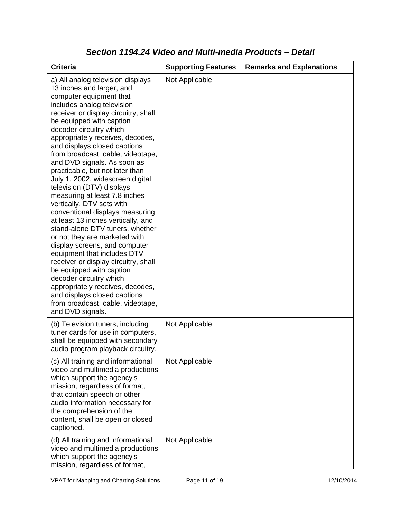| <b>Criteria</b>                                                                                                                                                                                                                                                                                                                                                                                                                                                                                                                                                                                                                                                                                                                                                                                                                                                                                                                                                           | <b>Supporting Features</b> | <b>Remarks and Explanations</b> |
|---------------------------------------------------------------------------------------------------------------------------------------------------------------------------------------------------------------------------------------------------------------------------------------------------------------------------------------------------------------------------------------------------------------------------------------------------------------------------------------------------------------------------------------------------------------------------------------------------------------------------------------------------------------------------------------------------------------------------------------------------------------------------------------------------------------------------------------------------------------------------------------------------------------------------------------------------------------------------|----------------------------|---------------------------------|
| a) All analog television displays<br>13 inches and larger, and<br>computer equipment that<br>includes analog television<br>receiver or display circuitry, shall<br>be equipped with caption<br>decoder circuitry which<br>appropriately receives, decodes,<br>and displays closed captions<br>from broadcast, cable, videotape,<br>and DVD signals. As soon as<br>practicable, but not later than<br>July 1, 2002, widescreen digital<br>television (DTV) displays<br>measuring at least 7.8 inches<br>vertically, DTV sets with<br>conventional displays measuring<br>at least 13 inches vertically, and<br>stand-alone DTV tuners, whether<br>or not they are marketed with<br>display screens, and computer<br>equipment that includes DTV<br>receiver or display circuitry, shall<br>be equipped with caption<br>decoder circuitry which<br>appropriately receives, decodes,<br>and displays closed captions<br>from broadcast, cable, videotape,<br>and DVD signals. | Not Applicable             |                                 |
| (b) Television tuners, including<br>tuner cards for use in computers,<br>shall be equipped with secondary<br>audio program playback circuitry.                                                                                                                                                                                                                                                                                                                                                                                                                                                                                                                                                                                                                                                                                                                                                                                                                            | Not Applicable             |                                 |
| (c) All training and informational<br>video and multimedia productions<br>which support the agency's<br>mission, regardless of format,<br>that contain speech or other<br>audio information necessary for<br>the comprehension of the<br>content, shall be open or closed<br>captioned.                                                                                                                                                                                                                                                                                                                                                                                                                                                                                                                                                                                                                                                                                   | Not Applicable             |                                 |
| (d) All training and informational<br>video and multimedia productions<br>which support the agency's<br>mission, regardless of format,                                                                                                                                                                                                                                                                                                                                                                                                                                                                                                                                                                                                                                                                                                                                                                                                                                    | Not Applicable             |                                 |

### *Section 1194.24 Video and Multi-media Products – Detail*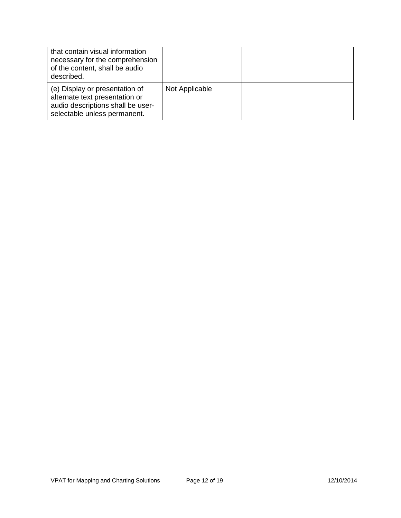| that contain visual information<br>necessary for the comprehension<br>of the content, shall be audio<br>described.                    |                |  |
|---------------------------------------------------------------------------------------------------------------------------------------|----------------|--|
| (e) Display or presentation of<br>alternate text presentation or<br>audio descriptions shall be user-<br>selectable unless permanent. | Not Applicable |  |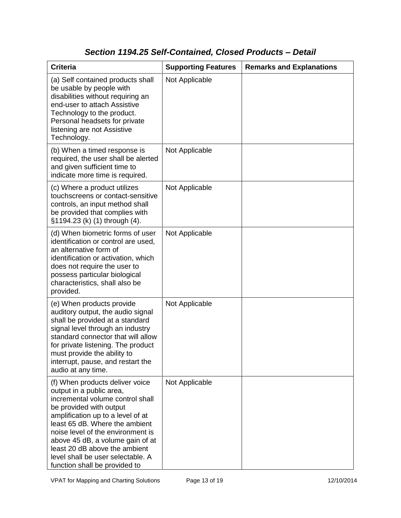### *Section 1194.25 Self-Contained, Closed Products – Detail*

| <b>Criteria</b>                                                                                                                                                                                                                                                                                                                                                                   | <b>Supporting Features</b> | <b>Remarks and Explanations</b> |
|-----------------------------------------------------------------------------------------------------------------------------------------------------------------------------------------------------------------------------------------------------------------------------------------------------------------------------------------------------------------------------------|----------------------------|---------------------------------|
| (a) Self contained products shall<br>be usable by people with<br>disabilities without requiring an<br>end-user to attach Assistive<br>Technology to the product.<br>Personal headsets for private<br>listening are not Assistive<br>Technology.                                                                                                                                   | Not Applicable             |                                 |
| (b) When a timed response is<br>required, the user shall be alerted<br>and given sufficient time to<br>indicate more time is required.                                                                                                                                                                                                                                            | Not Applicable             |                                 |
| (c) Where a product utilizes<br>touchscreens or contact-sensitive<br>controls, an input method shall<br>be provided that complies with<br>§1194.23 (k) (1) through (4).                                                                                                                                                                                                           | Not Applicable             |                                 |
| (d) When biometric forms of user<br>identification or control are used,<br>an alternative form of<br>identification or activation, which<br>does not require the user to<br>possess particular biological<br>characteristics, shall also be<br>provided.                                                                                                                          | Not Applicable             |                                 |
| (e) When products provide<br>auditory output, the audio signal<br>shall be provided at a standard<br>signal level through an industry<br>standard connector that will allow<br>for private listening. The product<br>must provide the ability to<br>interrupt, pause, and restart the<br>audio at any time.                                                                       | Not Applicable             |                                 |
| (f) When products deliver voice<br>output in a public area,<br>incremental volume control shall<br>be provided with output<br>amplification up to a level of at<br>least 65 dB. Where the ambient<br>noise level of the environment is<br>above 45 dB, a volume gain of at<br>least 20 dB above the ambient<br>level shall be user selectable. A<br>function shall be provided to | Not Applicable             |                                 |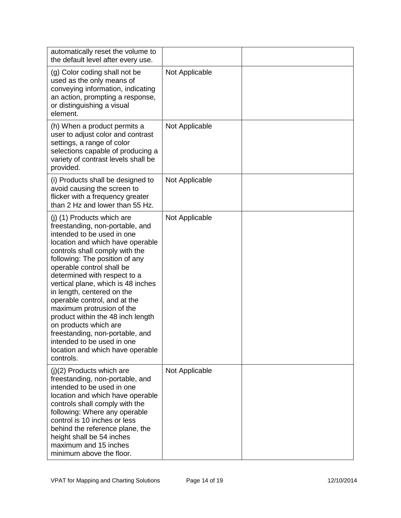| automatically reset the volume to<br>the default level after every use.                                                                                                                                                                                                                                                                                                                                                                                                                                                                                                           |                |  |
|-----------------------------------------------------------------------------------------------------------------------------------------------------------------------------------------------------------------------------------------------------------------------------------------------------------------------------------------------------------------------------------------------------------------------------------------------------------------------------------------------------------------------------------------------------------------------------------|----------------|--|
| (g) Color coding shall not be<br>used as the only means of<br>conveying information, indicating<br>an action, prompting a response,<br>or distinguishing a visual<br>element.                                                                                                                                                                                                                                                                                                                                                                                                     | Not Applicable |  |
| (h) When a product permits a<br>user to adjust color and contrast<br>settings, a range of color<br>selections capable of producing a<br>variety of contrast levels shall be<br>provided.                                                                                                                                                                                                                                                                                                                                                                                          | Not Applicable |  |
| (i) Products shall be designed to<br>avoid causing the screen to<br>flicker with a frequency greater<br>than 2 Hz and lower than 55 Hz.                                                                                                                                                                                                                                                                                                                                                                                                                                           | Not Applicable |  |
| (j) (1) Products which are<br>freestanding, non-portable, and<br>intended to be used in one<br>location and which have operable<br>controls shall comply with the<br>following: The position of any<br>operable control shall be<br>determined with respect to a<br>vertical plane, which is 48 inches<br>in length, centered on the<br>operable control, and at the<br>maximum protrusion of the<br>product within the 48 inch length<br>on products which are<br>freestanding, non-portable, and<br>intended to be used in one<br>location and which have operable<br>controls. | Not Applicable |  |
| $(j)(2)$ Products which are<br>freestanding, non-portable, and<br>intended to be used in one<br>location and which have operable<br>controls shall comply with the<br>following: Where any operable<br>control is 10 inches or less<br>behind the reference plane, the<br>height shall be 54 inches<br>maximum and 15 inches<br>minimum above the floor.                                                                                                                                                                                                                          | Not Applicable |  |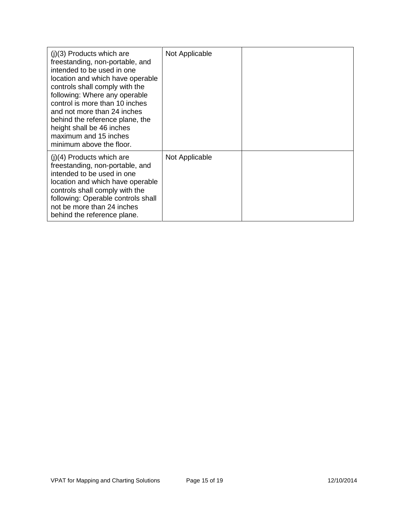| $(i)(3)$ Products which are<br>freestanding, non-portable, and<br>intended to be used in one<br>location and which have operable<br>controls shall comply with the<br>following: Where any operable<br>control is more than 10 inches<br>and not more than 24 inches<br>behind the reference plane, the<br>height shall be 46 inches<br>maximum and 15 inches<br>minimum above the floor. | Not Applicable |  |
|-------------------------------------------------------------------------------------------------------------------------------------------------------------------------------------------------------------------------------------------------------------------------------------------------------------------------------------------------------------------------------------------|----------------|--|
| $(i)(4)$ Products which are<br>freestanding, non-portable, and<br>intended to be used in one<br>location and which have operable<br>controls shall comply with the<br>following: Operable controls shall<br>not be more than 24 inches<br>behind the reference plane.                                                                                                                     | Not Applicable |  |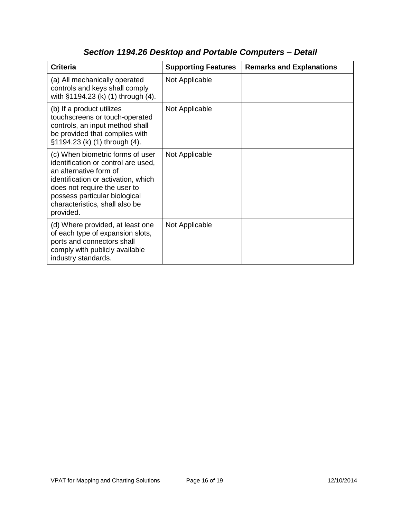| <b>Criteria</b>                                                                                                                                                                                                                                          | <b>Supporting Features</b> | <b>Remarks and Explanations</b> |
|----------------------------------------------------------------------------------------------------------------------------------------------------------------------------------------------------------------------------------------------------------|----------------------------|---------------------------------|
| (a) All mechanically operated<br>controls and keys shall comply<br>with §1194.23 (k) (1) through (4).                                                                                                                                                    | Not Applicable             |                                 |
| (b) If a product utilizes<br>touchscreens or touch-operated<br>controls, an input method shall<br>be provided that complies with<br>§1194.23 (k) (1) through (4).                                                                                        | Not Applicable             |                                 |
| (c) When biometric forms of user<br>identification or control are used,<br>an alternative form of<br>identification or activation, which<br>does not require the user to<br>possess particular biological<br>characteristics, shall also be<br>provided. | Not Applicable             |                                 |
| (d) Where provided, at least one<br>of each type of expansion slots,<br>ports and connectors shall<br>comply with publicly available<br>industry standards.                                                                                              | Not Applicable             |                                 |

# *Section 1194.26 Desktop and Portable Computers – Detail*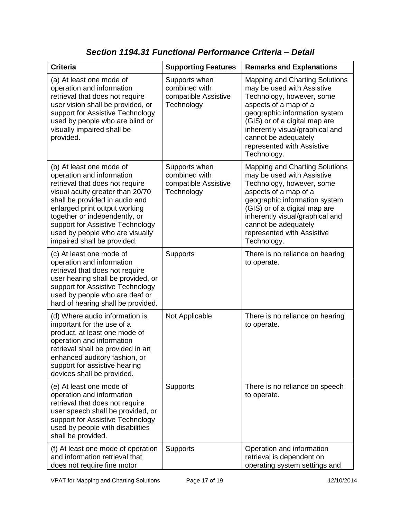| <b>Criteria</b>                                                                                                                                                                                                                                                                                                                        | <b>Supporting Features</b>                                           | <b>Remarks and Explanations</b>                                                                                                                                                                                                                                                                     |
|----------------------------------------------------------------------------------------------------------------------------------------------------------------------------------------------------------------------------------------------------------------------------------------------------------------------------------------|----------------------------------------------------------------------|-----------------------------------------------------------------------------------------------------------------------------------------------------------------------------------------------------------------------------------------------------------------------------------------------------|
| (a) At least one mode of<br>operation and information<br>retrieval that does not require<br>user vision shall be provided, or<br>support for Assistive Technology<br>used by people who are blind or<br>visually impaired shall be<br>provided.                                                                                        | Supports when<br>combined with<br>compatible Assistive<br>Technology | <b>Mapping and Charting Solutions</b><br>may be used with Assistive<br>Technology, however, some<br>aspects of a map of a<br>geographic information system<br>(GIS) or of a digital map are<br>inherently visual/graphical and<br>cannot be adequately<br>represented with Assistive<br>Technology. |
| (b) At least one mode of<br>operation and information<br>retrieval that does not require<br>visual acuity greater than 20/70<br>shall be provided in audio and<br>enlarged print output working<br>together or independently, or<br>support for Assistive Technology<br>used by people who are visually<br>impaired shall be provided. | Supports when<br>combined with<br>compatible Assistive<br>Technology | <b>Mapping and Charting Solutions</b><br>may be used with Assistive<br>Technology, however, some<br>aspects of a map of a<br>geographic information system<br>(GIS) or of a digital map are<br>inherently visual/graphical and<br>cannot be adequately<br>represented with Assistive<br>Technology. |
| (c) At least one mode of<br>operation and information<br>retrieval that does not require<br>user hearing shall be provided, or<br>support for Assistive Technology<br>used by people who are deaf or<br>hard of hearing shall be provided.                                                                                             | <b>Supports</b>                                                      | There is no reliance on hearing<br>to operate.                                                                                                                                                                                                                                                      |
| (d) Where audio information is<br>important for the use of a<br>product, at least one mode of<br>operation and information<br>retrieval shall be provided in an<br>enhanced auditory fashion, or<br>support for assistive hearing<br>devices shall be provided.                                                                        | Not Applicable                                                       | There is no reliance on hearing<br>to operate.                                                                                                                                                                                                                                                      |
| (e) At least one mode of<br>operation and information<br>retrieval that does not require<br>user speech shall be provided, or<br>support for Assistive Technology<br>used by people with disabilities<br>shall be provided.                                                                                                            | Supports                                                             | There is no reliance on speech<br>to operate.                                                                                                                                                                                                                                                       |
| (f) At least one mode of operation<br>and information retrieval that<br>does not require fine motor                                                                                                                                                                                                                                    | <b>Supports</b>                                                      | Operation and information<br>retrieval is dependent on<br>operating system settings and                                                                                                                                                                                                             |

*Section 1194.31 Functional Performance Criteria – Detail*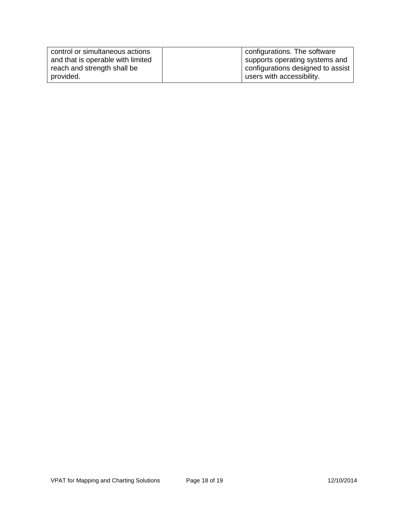| control or simultaneous actions   | configurations. The software      |
|-----------------------------------|-----------------------------------|
| and that is operable with limited | supports operating systems and    |
| reach and strength shall be       | configurations designed to assist |
| provided.                         | users with accessibility.         |